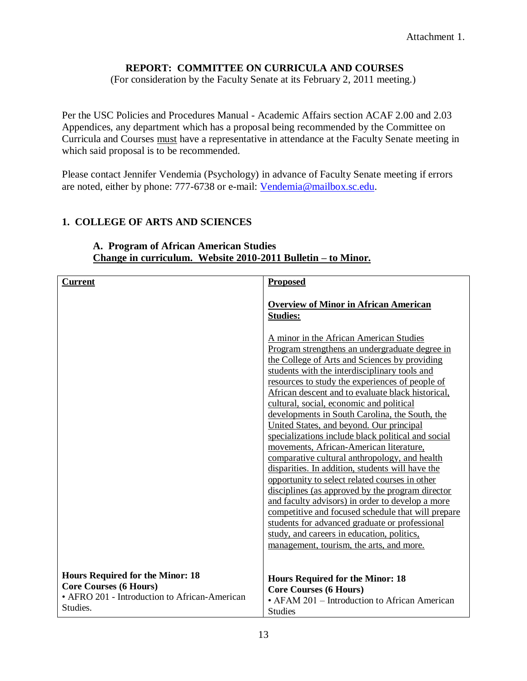### **REPORT: COMMITTEE ON CURRICULA AND COURSES**

(For consideration by the Faculty Senate at its February 2, 2011 meeting.)

Per the USC Policies and Procedures Manual - Academic Affairs section ACAF 2.00 and 2.03 Appendices, any department which has a proposal being recommended by the Committee on Curricula and Courses must have a representative in attendance at the Faculty Senate meeting in which said proposal is to be recommended.

Please contact Jennifer Vendemia (Psychology) in advance of Faculty Senate meeting if errors are noted, either by phone: 777-6738 or e-mail: [Vendemia@mailbox.sc.edu.](mailto:Vendemia@mailbox.sc.edu)

### **1. COLLEGE OF ARTS AND SCIENCES**

| Current                                                                                                                               | <b>Proposed</b>                                                                                                                                                                                                                                                                                                                                                                                                                                                                                                                                                                                                                                                                                                                                                                                                                                                                                                                                                                                                 |
|---------------------------------------------------------------------------------------------------------------------------------------|-----------------------------------------------------------------------------------------------------------------------------------------------------------------------------------------------------------------------------------------------------------------------------------------------------------------------------------------------------------------------------------------------------------------------------------------------------------------------------------------------------------------------------------------------------------------------------------------------------------------------------------------------------------------------------------------------------------------------------------------------------------------------------------------------------------------------------------------------------------------------------------------------------------------------------------------------------------------------------------------------------------------|
|                                                                                                                                       | <b>Overview of Minor in African American</b><br><b>Studies:</b>                                                                                                                                                                                                                                                                                                                                                                                                                                                                                                                                                                                                                                                                                                                                                                                                                                                                                                                                                 |
|                                                                                                                                       | A minor in the African American Studies<br>Program strengthens an undergraduate degree in<br>the College of Arts and Sciences by providing<br>students with the interdisciplinary tools and<br>resources to study the experiences of people of<br>African descent and to evaluate black historical,<br>cultural, social, economic and political<br>developments in South Carolina, the South, the<br>United States, and beyond. Our principal<br>specializations include black political and social<br>movements, African-American literature,<br>comparative cultural anthropology, and health<br>disparities. In addition, students will have the<br>opportunity to select related courses in other<br>disciplines (as approved by the program director<br>and faculty advisors) in order to develop a more<br>competitive and focused schedule that will prepare<br>students for advanced graduate or professional<br>study, and careers in education, politics,<br>management, tourism, the arts, and more. |
| <b>Hours Required for the Minor: 18</b><br><b>Core Courses (6 Hours)</b><br>• AFRO 201 - Introduction to African-American<br>Studies. | <b>Hours Required for the Minor: 18</b><br><b>Core Courses (6 Hours)</b><br>• AFAM 201 – Introduction to African American<br><b>Studies</b>                                                                                                                                                                                                                                                                                                                                                                                                                                                                                                                                                                                                                                                                                                                                                                                                                                                                     |

#### **A. Program of African American Studies Change in curriculum. Website 2010-2011 Bulletin – to Minor.**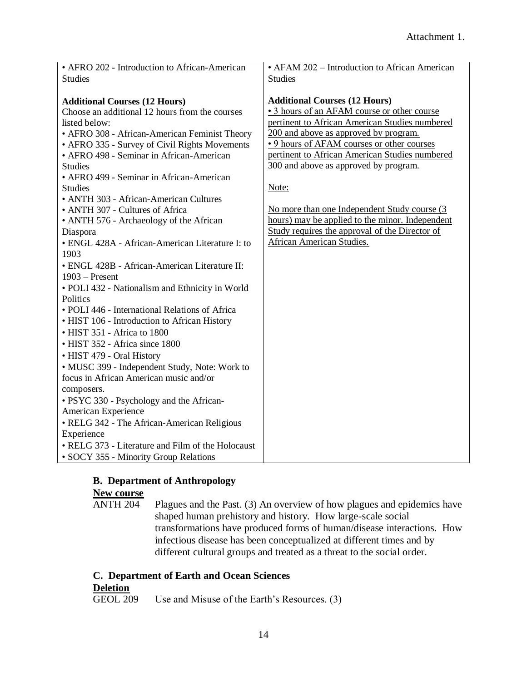| • AFRO 202 - Introduction to African-American                                          | • AFAM 202 – Introduction to African American                                       |
|----------------------------------------------------------------------------------------|-------------------------------------------------------------------------------------|
| <b>Studies</b>                                                                         | <b>Studies</b>                                                                      |
|                                                                                        |                                                                                     |
| <b>Additional Courses (12 Hours)</b><br>Choose an additional 12 hours from the courses | <b>Additional Courses (12 Hours)</b><br>• 3 hours of an AFAM course or other course |
| listed below:                                                                          | pertinent to African American Studies numbered                                      |
| • AFRO 308 - African-American Feminist Theory                                          | 200 and above as approved by program.                                               |
| • AFRO 335 - Survey of Civil Rights Movements                                          | .9 hours of AFAM courses or other courses                                           |
| • AFRO 498 - Seminar in African-American                                               | pertinent to African American Studies numbered                                      |
| <b>Studies</b>                                                                         | 300 and above as approved by program.                                               |
| • AFRO 499 - Seminar in African-American                                               |                                                                                     |
| <b>Studies</b>                                                                         | Note:                                                                               |
| • ANTH 303 - African-American Cultures                                                 |                                                                                     |
| • ANTH 307 - Cultures of Africa                                                        | No more than one Independent Study course (3                                        |
| • ANTH 576 - Archaeology of the African                                                | hours) may be applied to the minor. Independent                                     |
| Diaspora                                                                               | Study requires the approval of the Director of                                      |
| · ENGL 428A - African-American Literature I: to                                        | <b>African American Studies.</b>                                                    |
| 1903                                                                                   |                                                                                     |
| • ENGL 428B - African-American Literature II:                                          |                                                                                     |
| $1903$ – Present                                                                       |                                                                                     |
| · POLI 432 - Nationalism and Ethnicity in World                                        |                                                                                     |
| Politics                                                                               |                                                                                     |
| • POLI 446 - International Relations of Africa                                         |                                                                                     |
| • HIST 106 - Introduction to African History                                           |                                                                                     |
| • HIST 351 - Africa to 1800                                                            |                                                                                     |
| • HIST 352 - Africa since 1800                                                         |                                                                                     |
| • HIST 479 - Oral History                                                              |                                                                                     |
| • MUSC 399 - Independent Study, Note: Work to                                          |                                                                                     |
| focus in African American music and/or                                                 |                                                                                     |
| composers.                                                                             |                                                                                     |
| · PSYC 330 - Psychology and the African-                                               |                                                                                     |
| American Experience                                                                    |                                                                                     |
| • RELG 342 - The African-American Religious                                            |                                                                                     |
| Experience                                                                             |                                                                                     |
| • RELG 373 - Literature and Film of the Holocaust                                      |                                                                                     |
| • SOCY 355 - Minority Group Relations                                                  |                                                                                     |

# **B. Department of Anthropology**

# **New course**<br>ANTH 204

Plagues and the Past. (3) An overview of how plagues and epidemics have shaped human prehistory and history. How large-scale social transformations have produced forms of human/disease interactions. How infectious disease has been conceptualized at different times and by different cultural groups and treated as a threat to the social order.

#### **C. Department of Earth and Ocean Sciences Deletion**

GEOL 209 Use and Misuse of the Earth's Resources. (3)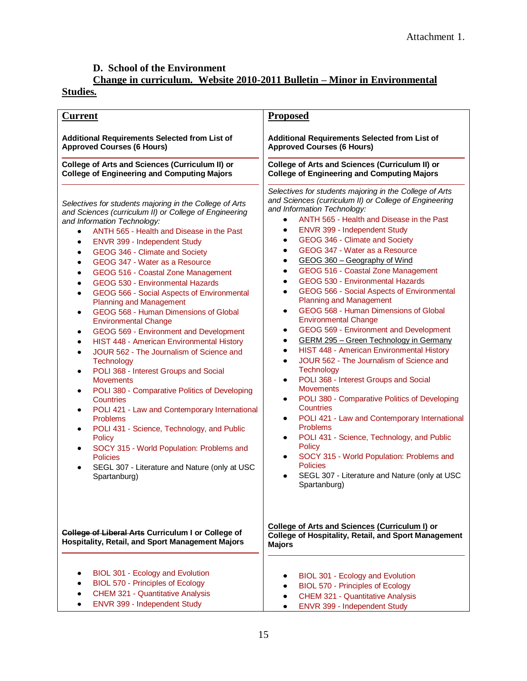# **D. School of the Environment**

# **Change in curriculum. Website 2010-2011 Bulletin – Minor in Environmental**

# **Studies.**

| <b>Current</b>                                                                                                                                                                                                                                                                                                                                                                                                                                                                                                                                                                                                                                                                                                                                                                                                                                                                                                                                                                                                                                                                                                                                                                                                                 | <b>Proposed</b>                                                                                                                                                                                                                                                                                                                                                                                                                                                                                                                                                                                                                                                                                                                                                                                                                                                                                                                                                                                                                                                                                                                                                                                                                                                                                               |
|--------------------------------------------------------------------------------------------------------------------------------------------------------------------------------------------------------------------------------------------------------------------------------------------------------------------------------------------------------------------------------------------------------------------------------------------------------------------------------------------------------------------------------------------------------------------------------------------------------------------------------------------------------------------------------------------------------------------------------------------------------------------------------------------------------------------------------------------------------------------------------------------------------------------------------------------------------------------------------------------------------------------------------------------------------------------------------------------------------------------------------------------------------------------------------------------------------------------------------|---------------------------------------------------------------------------------------------------------------------------------------------------------------------------------------------------------------------------------------------------------------------------------------------------------------------------------------------------------------------------------------------------------------------------------------------------------------------------------------------------------------------------------------------------------------------------------------------------------------------------------------------------------------------------------------------------------------------------------------------------------------------------------------------------------------------------------------------------------------------------------------------------------------------------------------------------------------------------------------------------------------------------------------------------------------------------------------------------------------------------------------------------------------------------------------------------------------------------------------------------------------------------------------------------------------|
| Additional Requirements Selected from List of<br><b>Approved Courses (6 Hours)</b>                                                                                                                                                                                                                                                                                                                                                                                                                                                                                                                                                                                                                                                                                                                                                                                                                                                                                                                                                                                                                                                                                                                                             | Additional Requirements Selected from List of<br><b>Approved Courses (6 Hours)</b>                                                                                                                                                                                                                                                                                                                                                                                                                                                                                                                                                                                                                                                                                                                                                                                                                                                                                                                                                                                                                                                                                                                                                                                                                            |
| <b>College of Arts and Sciences (Curriculum II) or</b><br><b>College of Engineering and Computing Majors</b>                                                                                                                                                                                                                                                                                                                                                                                                                                                                                                                                                                                                                                                                                                                                                                                                                                                                                                                                                                                                                                                                                                                   | <b>College of Arts and Sciences (Curriculum II) or</b><br><b>College of Engineering and Computing Majors</b>                                                                                                                                                                                                                                                                                                                                                                                                                                                                                                                                                                                                                                                                                                                                                                                                                                                                                                                                                                                                                                                                                                                                                                                                  |
| Selectives for students majoring in the College of Arts<br>and Sciences (curriculum II) or College of Engineering<br>and Information Technology:<br>ANTH 565 - Health and Disease in the Past<br>$\bullet$<br>ENVR 399 - Independent Study<br>٠<br>GEOG 346 - Climate and Society<br>$\bullet$<br>GEOG 347 - Water as a Resource<br>$\bullet$<br>GEOG 516 - Coastal Zone Management<br>$\bullet$<br>GEOG 530 - Environmental Hazards<br>$\bullet$<br>GEOG 566 - Social Aspects of Environmental<br>$\bullet$<br><b>Planning and Management</b><br>GEOG 568 - Human Dimensions of Global<br>٠<br><b>Environmental Change</b><br>GEOG 569 - Environment and Development<br>٠<br>HIST 448 - American Environmental History<br>$\bullet$<br>JOUR 562 - The Journalism of Science and<br>$\bullet$<br><b>Technology</b><br>POLI 368 - Interest Groups and Social<br>٠<br><b>Movements</b><br>POLI 380 - Comparative Politics of Developing<br>Countries<br>POLI 421 - Law and Contemporary International<br>٠<br><b>Problems</b><br>POLI 431 - Science, Technology, and Public<br>٠<br>Policy<br>SOCY 315 - World Population: Problems and<br>٠<br><b>Policies</b><br>SEGL 307 - Literature and Nature (only at USC<br>Spartanburg) | Selectives for students majoring in the College of Arts<br>and Sciences (curriculum II) or College of Engineering<br>and Information Technology:<br>ANTH 565 - Health and Disease in the Past<br>$\bullet$<br>ENVR 399 - Independent Study<br>٠<br>GEOG 346 - Climate and Society<br>٠<br>GEOG 347 - Water as a Resource<br>٠<br>GEOG 360 - Geography of Wind<br>٠<br>GEOG 516 - Coastal Zone Management<br>٠<br>GEOG 530 - Environmental Hazards<br>٠<br>GEOG 566 - Social Aspects of Environmental<br>٠<br><b>Planning and Management</b><br>GEOG 568 - Human Dimensions of Global<br>٠<br><b>Environmental Change</b><br>GEOG 569 - Environment and Development<br>٠<br><b>GERM 295 - Green Technology in Germany</b><br>٠<br>HIST 448 - American Environmental History<br>$\bullet$<br>JOUR 562 - The Journalism of Science and<br>$\bullet$<br><b>Technology</b><br>POLI 368 - Interest Groups and Social<br>٠<br><b>Movements</b><br>POLI 380 - Comparative Politics of Developing<br>$\bullet$<br><b>Countries</b><br>POLI 421 - Law and Contemporary International<br>$\bullet$<br><b>Problems</b><br>POLI 431 - Science, Technology, and Public<br>٠<br>Policy<br>SOCY 315 - World Population: Problems and<br>٠<br><b>Policies</b><br>SEGL 307 - Literature and Nature (only at USC<br>Spartanburg) |
| College of Liberal Arts Curriculum I or College of<br><b>Hospitality, Retail, and Sport Management Majors</b>                                                                                                                                                                                                                                                                                                                                                                                                                                                                                                                                                                                                                                                                                                                                                                                                                                                                                                                                                                                                                                                                                                                  | <b>College of Arts and Sciences (Curriculum I) or</b><br><b>College of Hospitality, Retail, and Sport Management</b><br><b>Majors</b>                                                                                                                                                                                                                                                                                                                                                                                                                                                                                                                                                                                                                                                                                                                                                                                                                                                                                                                                                                                                                                                                                                                                                                         |
| BIOL 301 - Ecology and Evolution<br>BIOL 570 - Principles of Ecology<br><b>CHEM 321 - Quantitative Analysis</b><br>ENVR 399 - Independent Study                                                                                                                                                                                                                                                                                                                                                                                                                                                                                                                                                                                                                                                                                                                                                                                                                                                                                                                                                                                                                                                                                | BIOL 301 - Ecology and Evolution<br><b>BIOL 570 - Principles of Ecology</b><br>CHEM 321 - Quantitative Analysis<br>٠<br>ENVR 399 - Independent Study                                                                                                                                                                                                                                                                                                                                                                                                                                                                                                                                                                                                                                                                                                                                                                                                                                                                                                                                                                                                                                                                                                                                                          |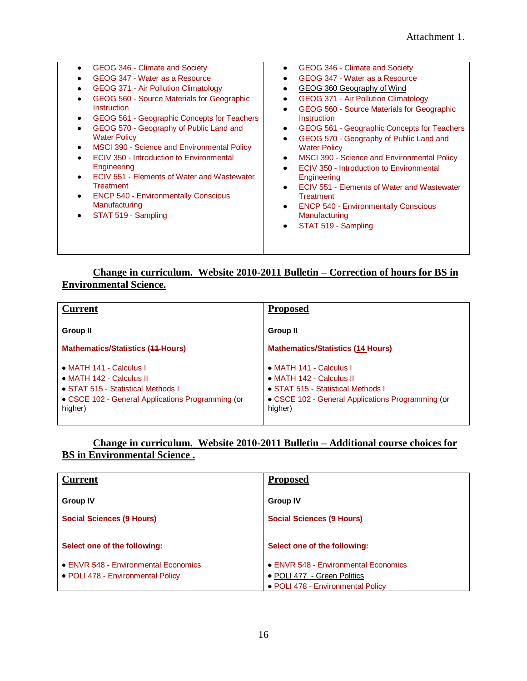| GEOG 346 - Climate and Society<br>٠<br>GEOG 347 - Water as a Resource<br>GEOG 371 - Air Pollution Climatology<br>GEOG 560 - Source Materials for Geographic<br>Instruction<br>GEOG 561 - Geographic Concepts for Teachers<br>٠<br>GEOG 570 - Geography of Public Land and<br><b>Water Policy</b><br>MSCI 390 - Science and Environmental Policy<br>$\bullet$<br>ECIV 350 - Introduction to Environmental<br>Engineering<br>ECIV 551 - Elements of Water and Wastewater<br>$\bullet$<br><b>Treatment</b><br><b>ENCP 540 - Environmentally Conscious</b><br>$\bullet$<br>Manufacturing<br>STAT 519 - Sampling<br>٠ | GEOG 346 - Climate and Society<br>٠<br>GEOG 347 - Water as a Resource<br>GEOG 360 Geography of Wind<br><b>GEOG 371 - Air Pollution Climatology</b><br>٠<br>GEOG 560 - Source Materials for Geographic<br>$\bullet$<br>Instruction<br>GEOG 561 - Geographic Concepts for Teachers<br>٠<br>GEOG 570 - Geography of Public Land and<br>٠<br><b>Water Policy</b><br>MSCI 390 - Science and Environmental Policy<br>٠<br>ECIV 350 - Introduction to Environmental<br>$\bullet$<br>Engineering<br>ECIV 551 - Elements of Water and Wastewater<br>$\bullet$<br><b>Treatment</b><br><b>ENCP 540 - Environmentally Conscious</b><br>$\bullet$<br>Manufacturing<br>STAT 519 - Sampling<br>$\bullet$ |
|------------------------------------------------------------------------------------------------------------------------------------------------------------------------------------------------------------------------------------------------------------------------------------------------------------------------------------------------------------------------------------------------------------------------------------------------------------------------------------------------------------------------------------------------------------------------------------------------------------------|-------------------------------------------------------------------------------------------------------------------------------------------------------------------------------------------------------------------------------------------------------------------------------------------------------------------------------------------------------------------------------------------------------------------------------------------------------------------------------------------------------------------------------------------------------------------------------------------------------------------------------------------------------------------------------------------|
|                                                                                                                                                                                                                                                                                                                                                                                                                                                                                                                                                                                                                  |                                                                                                                                                                                                                                                                                                                                                                                                                                                                                                                                                                                                                                                                                           |
|                                                                                                                                                                                                                                                                                                                                                                                                                                                                                                                                                                                                                  |                                                                                                                                                                                                                                                                                                                                                                                                                                                                                                                                                                                                                                                                                           |

# **Change in curriculum. Website 2010-2011 Bulletin – Correction of hours for BS in Environmental Science.**

| <b>Current</b>                                    | <b>Proposed</b>                                   |
|---------------------------------------------------|---------------------------------------------------|
| Group II                                          | Group II                                          |
| <b>Mathematics/Statistics (44-Hours)</b>          | <b>Mathematics/Statistics (14 Hours)</b>          |
| • MATH 141 - Calculus I                           | • MATH 141 - Calculus I                           |
| • MATH 142 - Calculus II                          | • MATH 142 - Calculus II                          |
| • STAT 515 - Statistical Methods I                | • STAT 515 - Statistical Methods I                |
| • CSCE 102 - General Applications Programming (or | • CSCE 102 - General Applications Programming (or |
| higher)                                           | higher)                                           |

#### **Change in curriculum. Website 2010-2011 Bulletin – Additional course choices for BS in Environmental Science .**

| <b>Current</b>                                                            | <b>Proposed</b>                                                     |
|---------------------------------------------------------------------------|---------------------------------------------------------------------|
| <b>Group IV</b>                                                           | <b>Group IV</b>                                                     |
| <b>Social Sciences (9 Hours)</b>                                          | <b>Social Sciences (9 Hours)</b>                                    |
| Select one of the following:                                              | Select one of the following:                                        |
| • ENVR 548 - Environmental Economics<br>• POLI 478 - Environmental Policy | • ENVR 548 - Environmental Economics<br>• POLI 477 - Green Politics |
|                                                                           | • POLI 478 - Environmental Policy                                   |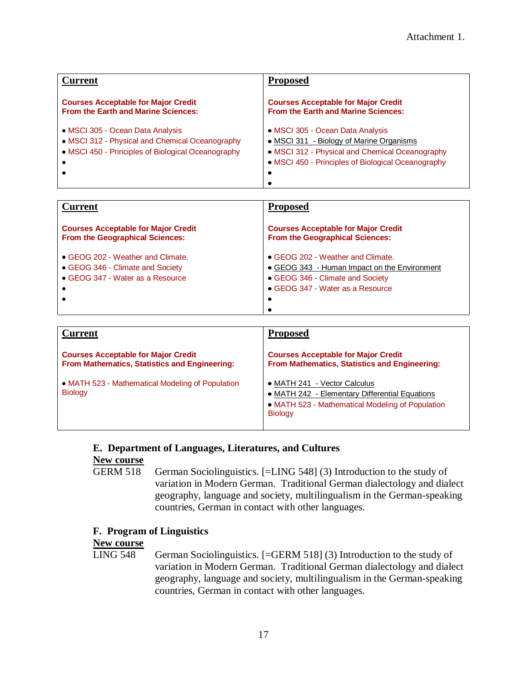| <b>Current</b>                                                                                                                            | <b>Proposed</b>                                                                                                                                                                       |
|-------------------------------------------------------------------------------------------------------------------------------------------|---------------------------------------------------------------------------------------------------------------------------------------------------------------------------------------|
| <b>Courses Acceptable for Major Credit</b><br>From the Earth and Marine Sciences:                                                         | <b>Courses Acceptable for Major Credit</b><br>From the Earth and Marine Sciences:                                                                                                     |
| • MSCI 305 - Ocean Data Analysis<br>• MSCI 312 - Physical and Chemical Oceanography<br>• MSCI 450 - Principles of Biological Oceanography | • MSCI 305 - Ocean Data Analysis<br>• MSCI 311 - Biology of Marine Organisms<br>• MSCI 312 - Physical and Chemical Oceanography<br>• MSCI 450 - Principles of Biological Oceanography |

| <b>Current</b>                                                                                                 | <b>Proposed</b>                                                                                                                                                |
|----------------------------------------------------------------------------------------------------------------|----------------------------------------------------------------------------------------------------------------------------------------------------------------|
| <b>Courses Acceptable for Major Credit</b><br><b>From the Geographical Sciences:</b>                           | <b>Courses Acceptable for Major Credit</b><br>From the Geographical Sciences:                                                                                  |
| • GEOG 202 - Weather and Climate.<br>• GEOG 346 - Climate and Society<br>• GEOG 347 - Water as a Resource<br>٠ | • GEOG 202 - Weather and Climate.<br>• GEOG 343 - Human Impact on the Environment<br>• GEOG 346 - Climate and Society<br>• GEOG 347 - Water as a Resource<br>٠ |

| <b>Current</b>                                                                              | <b>Proposed</b>                                                                                                                                      |
|---------------------------------------------------------------------------------------------|------------------------------------------------------------------------------------------------------------------------------------------------------|
| <b>Courses Acceptable for Major Credit</b><br>From Mathematics, Statistics and Engineering: | <b>Courses Acceptable for Major Credit</b><br>From Mathematics, Statistics and Engineering:                                                          |
| • MATH 523 - Mathematical Modeling of Population<br><b>Biology</b>                          | • MATH 241 - Vector Calculus<br>• MATH 242 - Elementary Differential Equations<br>• MATH 523 - Mathematical Modeling of Population<br><b>Biology</b> |

#### **E. Department of Languages, Literatures, and Cultures**

# **New course**

GERM 518 German Sociolinguistics. [=LING 548] (3) Introduction to the study of variation in Modern German. Traditional German dialectology and dialect geography, language and society, multilingualism in the German-speaking countries, German in contact with other languages.

#### **F. Program of Linguistics**

# **New course**

German Sociolinguistics. [=GERM 518] (3) Introduction to the study of variation in Modern German. Traditional German dialectology and dialect geography, language and society, multilingualism in the German-speaking countries, German in contact with other languages.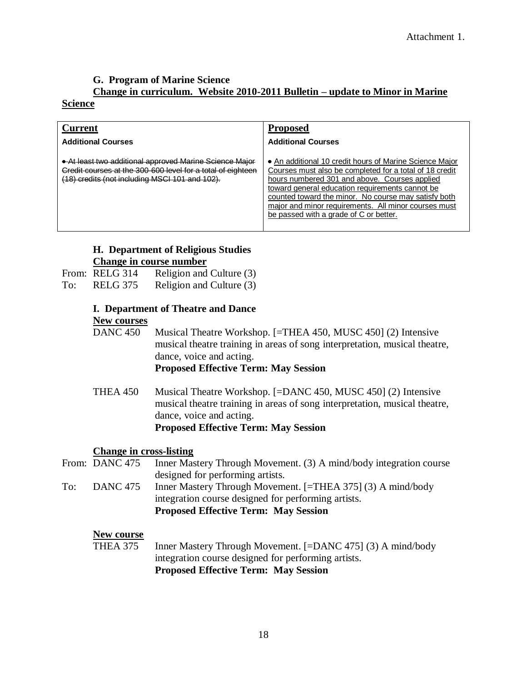# **G. Program of Marine Science Change in curriculum. Website 2010-2011 Bulletin – update to Minor in Marine**

#### **Science**

| Current                                                                                                                                                                  | <b>Proposed</b>                                                                                                                                                                                                                                                                                                                                                                  |
|--------------------------------------------------------------------------------------------------------------------------------------------------------------------------|----------------------------------------------------------------------------------------------------------------------------------------------------------------------------------------------------------------------------------------------------------------------------------------------------------------------------------------------------------------------------------|
| <b>Additional Courses</b>                                                                                                                                                | <b>Additional Courses</b>                                                                                                                                                                                                                                                                                                                                                        |
| • At least two additional approved Marine Science Major<br>Credit courses at the 300-600 level for a total of eighteen<br>(18) credits (not including MSCI 101 and 102). | • An additional 10 credit hours of Marine Science Major<br>Courses must also be completed for a total of 18 credit<br>hours numbered 301 and above. Courses applied<br>toward general education requirements cannot be<br>counted toward the minor. No course may satisfy both<br>major and minor requirements. All minor courses must<br>be passed with a grade of C or better. |

#### **H. Department of Religious Studies Change in course number**

| From: RELG 314                     | Religion and Culture (3)                                                     |
|------------------------------------|------------------------------------------------------------------------------|
| $T_{\rm{eff}}$ DEI $\alpha$ $2\pi$ | $\mathbf{D} \cdot \mathbf{1}$ $\mathbf{L} \cdot \mathbf{L} \cdot \mathbf{L}$ |

- To: RELG 375 Religion and Culture (3)
	- **I. Department of Theatre and Dance**

#### **New courses**

DANC 450 Musical Theatre Workshop. [=THEA 450, MUSC 450] (2) Intensive musical theatre training in areas of song interpretation, musical theatre, dance, voice and acting. **Proposed Effective Term: May Session**

THEA 450 Musical Theatre Workshop. [=DANC 450, MUSC 450] (2) Intensive musical theatre training in areas of song interpretation, musical theatre, dance, voice and acting. **Proposed Effective Term: May Session**

## **Change in cross-listing**

From: DANC 475 Inner Mastery Through Movement. (3) A mind/body integration course designed for performing artists. To: DANC 475 Inner Mastery Through Movement. [=THEA 375] (3) A mind/body integration course designed for performing artists. **Proposed Effective Term: May Session**

## **New course**

THEA 375 Inner Mastery Through Movement. [=DANC 475] (3) A mind/body integration course designed for performing artists. **Proposed Effective Term: May Session**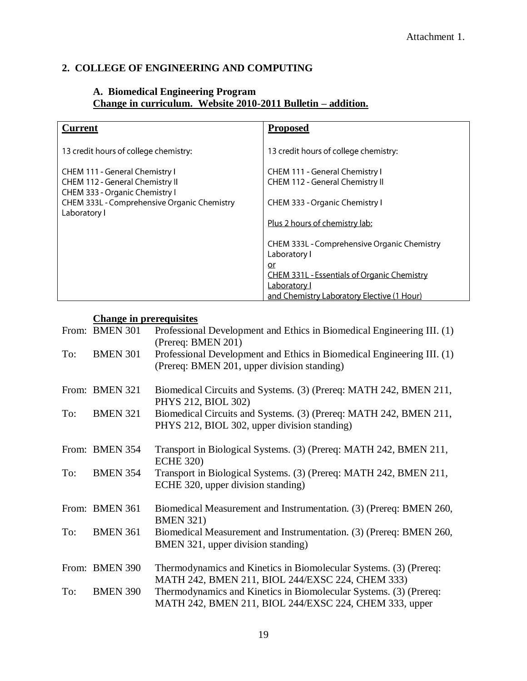# **2. COLLEGE OF ENGINEERING AND COMPUTING**

#### **A. Biomedical Engineering Program Change in curriculum. Website 2010-2011 Bulletin – addition.**

| <b>Current</b>                                                                                | <b>Proposed</b>                                                   |
|-----------------------------------------------------------------------------------------------|-------------------------------------------------------------------|
| 13 credit hours of college chemistry:                                                         | 13 credit hours of college chemistry:                             |
| CHEM 111 - General Chemistry I<br>CHEM 112 - General Chemistry II                             | CHEM 111 - General Chemistry I<br>CHEM 112 - General Chemistry II |
| CHEM 333 - Organic Chemistry I<br>CHEM 333L - Comprehensive Organic Chemistry<br>Laboratory I | CHEM 333 - Organic Chemistry I                                    |
|                                                                                               | Plus 2 hours of chemistry lab:                                    |
|                                                                                               | CHEM 333L - Comprehensive Organic Chemistry<br>Laboratory I       |
|                                                                                               | or<br><b>CHEM 331L - Essentials of Organic Chemistry</b>          |
|                                                                                               | Laboratory I<br>and Chemistry Laboratory Elective (1 Hour)        |

# **Change in prerequisites**

|     | From: BMEN 301  | Professional Development and Ethics in Biomedical Engineering III. (1)<br>(Prereq: BMEN 201)                                |
|-----|-----------------|-----------------------------------------------------------------------------------------------------------------------------|
| To: | <b>BMEN 301</b> | Professional Development and Ethics in Biomedical Engineering III. (1)<br>(Prereq: BMEN 201, upper division standing)       |
|     | From: BMEN 321  | Biomedical Circuits and Systems. (3) (Prereq: MATH 242, BMEN 211,<br>PHYS 212, BIOL 302)                                    |
| To: | <b>BMEN 321</b> | Biomedical Circuits and Systems. (3) (Prereq: MATH 242, BMEN 211,<br>PHYS 212, BIOL 302, upper division standing)           |
|     | From: BMEN 354  | Transport in Biological Systems. (3) (Prereq: MATH 242, BMEN 211,<br><b>ECHE 320)</b>                                       |
| To: | <b>BMEN 354</b> | Transport in Biological Systems. (3) (Prereq: MATH 242, BMEN 211,<br>ECHE 320, upper division standing)                     |
|     | From: BMEN 361  | Biomedical Measurement and Instrumentation. (3) (Prereq: BMEN 260,<br><b>BMEN 321)</b>                                      |
| To: | <b>BMEN 361</b> | Biomedical Measurement and Instrumentation. (3) (Prereq: BMEN 260,<br>BMEN 321, upper division standing)                    |
|     | From: BMEN 390  | Thermodynamics and Kinetics in Biomolecular Systems. (3) (Prereq:<br>MATH 242, BMEN 211, BIOL 244/EXSC 224, CHEM 333)       |
| To: | <b>BMEN 390</b> | Thermodynamics and Kinetics in Biomolecular Systems. (3) (Prereq:<br>MATH 242, BMEN 211, BIOL 244/EXSC 224, CHEM 333, upper |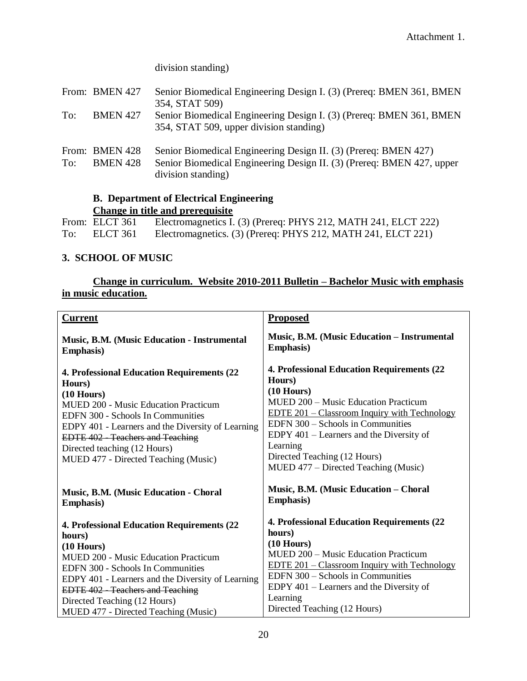## division standing)

| Senior Biomedical Engineering Design I. (3) (Prereq: BMEN 361, BMEN                                                                      |
|------------------------------------------------------------------------------------------------------------------------------------------|
| Senior Biomedical Engineering Design I. (3) (Prereq: BMEN 361, BMEN                                                                      |
| Senior Biomedical Engineering Design II. (3) (Prereq: BMEN 427)<br>Senior Biomedical Engineering Design II. (3) (Prereq: BMEN 427, upper |
|                                                                                                                                          |

#### **B. Department of Electrical Engineering Change in title and prerequisite**

|     |                | Channel in the annual providence                               |
|-----|----------------|----------------------------------------------------------------|
|     | From: ELCT 361 | Electromagnetics I. (3) (Prereq: PHYS 212, MATH 241, ELCT 222) |
| To: | ELCT 361       | Electromagnetics. (3) (Prereq: PHYS 212, MATH 241, ELCT 221)   |

## **3. SCHOOL OF MUSIC**

# **Change in curriculum. Website 2010-2011 Bulletin – Bachelor Music with emphasis in music education.**

| <b>Current</b>                                                                                                                                                                                                                                                                                                                           | <b>Proposed</b>                                                                                                                                                                                                                                                                                                                                  |
|------------------------------------------------------------------------------------------------------------------------------------------------------------------------------------------------------------------------------------------------------------------------------------------------------------------------------------------|--------------------------------------------------------------------------------------------------------------------------------------------------------------------------------------------------------------------------------------------------------------------------------------------------------------------------------------------------|
| <b>Music, B.M. (Music Education - Instrumental</b>                                                                                                                                                                                                                                                                                       | Music, B.M. (Music Education - Instrumental                                                                                                                                                                                                                                                                                                      |
| <b>Emphasis</b> )                                                                                                                                                                                                                                                                                                                        | <b>Emphasis</b> )                                                                                                                                                                                                                                                                                                                                |
| <b>4. Professional Education Requirements (22)</b><br>Hours)<br>$(10$ Hours)<br><b>MUED 200 - Music Education Practicum</b><br>EDFN 300 - Schools In Communities<br>EDPY 401 - Learners and the Diversity of Learning<br><b>EDTE 402 - Teachers and Teaching</b><br>Directed teaching (12 Hours)<br>MUED 477 - Directed Teaching (Music) | <b>4. Professional Education Requirements (22)</b><br>Hours)<br>$(10$ Hours)<br>MUED 200 – Music Education Practicum<br><u>EDTE 201 – Classroom Inquiry with Technology</u><br>EDFN 300 - Schools in Communities<br>EDPY 401 – Learners and the Diversity of<br>Learning<br>Directed Teaching (12 Hours)<br>MUED 477 – Directed Teaching (Music) |
| Music, B.M. (Music Education - Choral                                                                                                                                                                                                                                                                                                    | Music, B.M. (Music Education – Choral                                                                                                                                                                                                                                                                                                            |
| <b>Emphasis</b> )                                                                                                                                                                                                                                                                                                                        | <b>Emphasis</b> )                                                                                                                                                                                                                                                                                                                                |
| <b>4. Professional Education Requirements (22)</b>                                                                                                                                                                                                                                                                                       | 4. Professional Education Requirements (22                                                                                                                                                                                                                                                                                                       |
| hours)                                                                                                                                                                                                                                                                                                                                   | hours)                                                                                                                                                                                                                                                                                                                                           |
| $(10$ Hours)                                                                                                                                                                                                                                                                                                                             | $(10$ Hours)                                                                                                                                                                                                                                                                                                                                     |
| <b>MUED 200 - Music Education Practicum</b>                                                                                                                                                                                                                                                                                              | MUED 200 – Music Education Practicum                                                                                                                                                                                                                                                                                                             |
| <b>EDFN 300 - Schools In Communities</b>                                                                                                                                                                                                                                                                                                 | <u>EDTE 201 – Classroom Inquiry with Technology</u>                                                                                                                                                                                                                                                                                              |
| EDPY 401 - Learners and the Diversity of Learning                                                                                                                                                                                                                                                                                        | EDFN 300 – Schools in Communities                                                                                                                                                                                                                                                                                                                |
| EDTE 402 - Teachers and Teaching                                                                                                                                                                                                                                                                                                         | EDPY 401 – Learners and the Diversity of                                                                                                                                                                                                                                                                                                         |
| Directed Teaching (12 Hours)                                                                                                                                                                                                                                                                                                             | Learning                                                                                                                                                                                                                                                                                                                                         |
| MUED 477 - Directed Teaching (Music)                                                                                                                                                                                                                                                                                                     | Directed Teaching (12 Hours)                                                                                                                                                                                                                                                                                                                     |